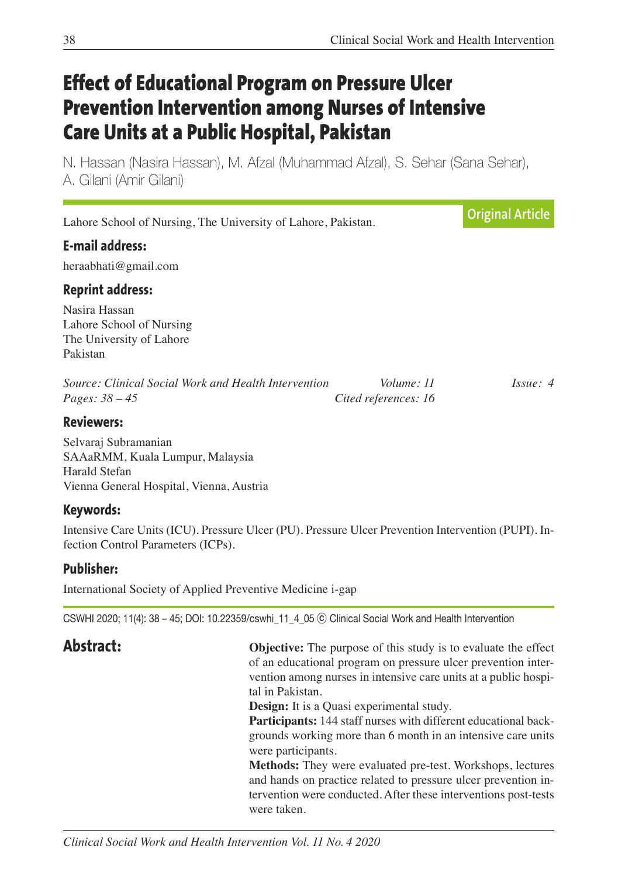# **Effect of Educational Program on Pressure Ulcer Prevention Intervention among Nurses of Intensive Care Units at a Public Hospital, Pakistan**

N. Hassan (Nasira Hassan), M. Afzal (Muhammad Afzal), S. Sehar (Sana Sehar), A. Gilani (Amir Gilani)

Lahore School of Nursing, The University of Lahore, Pakistan. **E-mail address:** heraabhati@gmail.com **Reprint address:** Nasira Hassan Lahore School of Nursing The University of Lahore Pakistan *Source: Clinical Social Work and Health Intervention Volume: 11 Issue: 4 Pages: 38 – 45 Cited references: 16* **Reviewers: Original Article**

Selvaraj Subramanian SAAaRMM, Kuala Lumpur, Malaysia Harald Stefan Vienna General Hospital, Vienna, Austria

## **Keywords:**

Intensive Care Units (ICU). Pressure Ulcer (PU). Pressure Ulcer Prevention Intervention (PUPI). Infection Control Parameters (ICPs).

## **Publisher:**

International Society of Applied Preventive Medicine i-gap

CSWHI 2020; 11(4): 38 – 45; DOI: 10.22359/cswhi\_11\_4\_05 ⓒ Clinical Social Work and Health Intervention

**Abstract: Objective:** The purpose of this study is to evaluate the effect of an educational program on pressure ulcer prevention intervention among nurses in intensive care units at a public hospital in Pakistan.

**Design:** It is a Quasi experimental study.

 **Participants:** 144 staff nurses with different educational backgrounds working more than 6 month in an intensive care units were participants.

 **Methods:** They were evaluated pre-test. Workshops, lectures and hands on practice related to pressure ulcer prevention intervention were conducted. After these interventions post-tests were taken.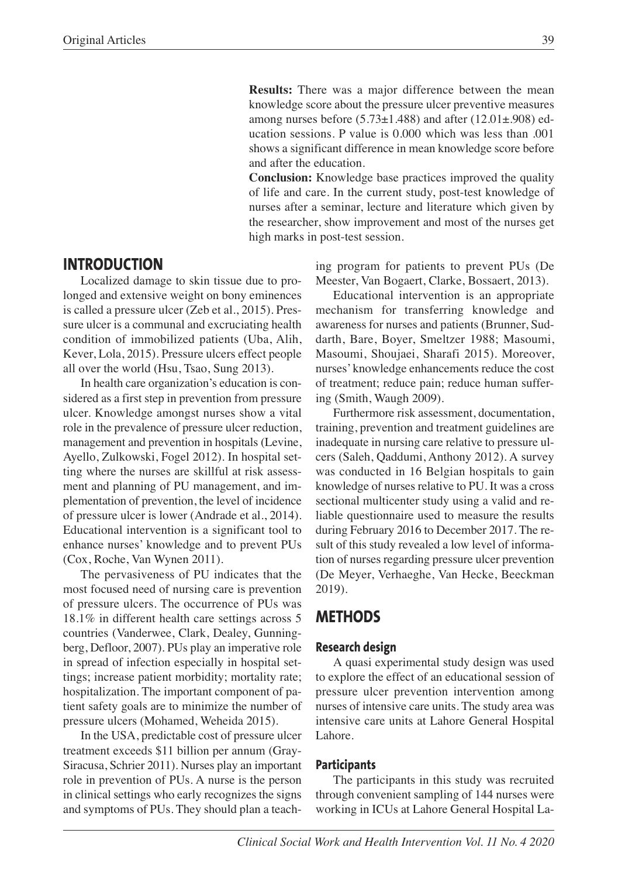**Results:** There was a major difference between the mean knowledge score about the pressure ulcer preventive measures among nurses before  $(5.73\pm1.488)$  and after  $(12.01\pm.908)$  education sessions. P value is 0.000 which was less than .001 shows a significant difference in mean knowledge score before and after the education.

 **Conclusion:** Knowledge base practices improved the quality of life and care. In the current study, post-test knowledge of nurses after a seminar, lecture and literature which given by the researcher, show improvement and most of the nurses get high marks in post-test session.

## **INTRODUCTION**

Localized damage to skin tissue due to prolonged and extensive weight on bony eminences is called a pressure ulcer (Zeb et al., 2015). Pressure ulcer is a communal and excruciating health condition of immobilized patients (Uba, Alih, Kever, Lola, 2015). Pressure ulcers effect people all over the world (Hsu, Tsao, Sung 2013).

In health care organization's education is considered as a first step in prevention from pressure ulcer. Knowledge amongst nurses show a vital role in the prevalence of pressure ulcer reduction, management and prevention in hospitals (Levine, Ayello, Zulkowski, Fogel 2012). In hospital setting where the nurses are skillful at risk assessment and planning of PU management, and implementation of prevention, the level of incidence of pressure ulcer is lower (Andrade et al., 2014). Educational intervention is a significant tool to enhance nurses' knowledge and to prevent PUs (Cox, Roche, Van Wynen 2011).

The pervasiveness of PU indicates that the most focused need of nursing care is prevention of pressure ulcers. The occurrence of PUs was 18.1% in different health care settings across 5 countries (Vanderwee, Clark, Dealey, Gunningberg, Defloor, 2007). PUs play an imperative role in spread of infection especially in hospital settings; increase patient morbidity; mortality rate; hospitalization. The important component of patient safety goals are to minimize the number of pressure ulcers (Mohamed, Weheida 2015).

In the USA, predictable cost of pressure ulcer treatment exceeds \$11 billion per annum (Gray-Siracusa, Schrier 2011). Nurses play an important role in prevention of PUs. A nurse is the person in clinical settings who early recognizes the signs and symptoms of PUs. They should plan a teaching program for patients to prevent PUs (De Meester, Van Bogaert, Clarke, Bossaert, 2013).

Educational intervention is an appropriate mechanism for transferring knowledge and awareness for nurses and patients (Brunner, Suddarth, Bare, Boyer, Smeltzer 1988; Masoumi, Masoumi, Shoujaei, Sharafi 2015). Moreover, nurses' knowledge enhancements reduce the cost of treatment; reduce pain; reduce human suffering (Smith, Waugh 2009).

Furthermore risk assessment, documentation, training, prevention and treatment guidelines are inadequate in nursing care relative to pressure ulcers (Saleh, Qaddumi, Anthony 2012). A survey was conducted in 16 Belgian hospitals to gain knowledge of nurses relative to PU. It was a cross sectional multicenter study using a valid and reliable questionnaire used to measure the results during February 2016 to December 2017. The result of this study revealed a low level of information of nurses regarding pressure ulcer prevention (De Meyer, Verhaeghe, Van Hecke, Beeckman 2019).

## **METHODS**

#### **Research design**

A quasi experimental study design was used to explore the effect of an educational session of pressure ulcer prevention intervention among nurses of intensive care units. The study area was intensive care units at Lahore General Hospital Lahore.

#### **Participants**

The participants in this study was recruited through convenient sampling of 144 nurses were working in ICUs at Lahore General Hospital La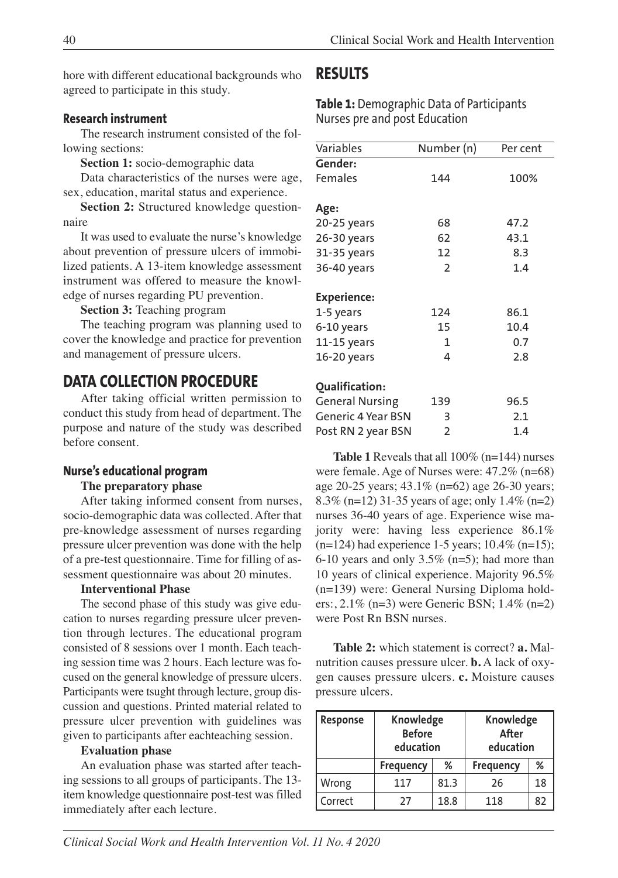hore with different educational backgrounds who agreed to participate in this study.

### **Research instrument**

The research instrument consisted of the following sections:

**Section 1:** socio-demographic data

Data characteristics of the nurses were age, sex, education, marital status and experience.

**Section 2:** Structured knowledge questionnaire

It was used to evaluate the nurse's knowledge about prevention of pressure ulcers of immobilized patients. A 13-item knowledge assessment instrument was offered to measure the knowledge of nurses regarding PU prevention.

**Section 3:** Teaching program

The teaching program was planning used to cover the knowledge and practice for prevention and management of pressure ulcers.

## **DATA COLLECTION PROCEDURE**

After taking official written permission to conduct this study from head of department. The purpose and nature of the study was described before consent.

#### **Nurse's educational program**

#### **The preparatory phase**

After taking informed consent from nurses, socio-demographic data was collected. After that pre-knowledge assessment of nurses regarding pressure ulcer prevention was done with the help of a pre-test questionnaire. Time for filling of assessment questionnaire was about 20 minutes.

#### **Interventional Phase**

The second phase of this study was give education to nurses regarding pressure ulcer prevention through lectures. The educational program consisted of 8 sessions over 1 month. Each teaching session time was 2 hours. Each lecture was focused on the general knowledge of pressure ulcers. Participants were tsught through lecture, group discussion and questions. Printed material related to pressure ulcer prevention with guidelines was given to participants after eachteaching session.

#### **Evaluation phase**

An evaluation phase was started after teaching sessions to all groups of participants. The 13 item knowledge questionnaire post-test was filled immediately after each lecture.

## **RESULTS**

**Table 1:** Demographic Data of Participants Nurses pre and post Education

| Variables                 | Number (n)     | Per cent |
|---------------------------|----------------|----------|
| Gender:                   |                |          |
| Females                   | 144            | 100%     |
|                           |                |          |
| Age:                      |                |          |
| 20-25 years               | 68             | 47.2     |
| 26-30 years               | 62             | 43.1     |
| 31-35 years               | 12             | 8.3      |
| 36-40 years               | $\overline{2}$ | 1.4      |
|                           |                |          |
| <b>Experience:</b>        |                |          |
| 1-5 years                 | 124            | 86.1     |
| 6-10 years                | 15             | 10.4     |
| 11-15 years               | 1              | 0.7      |
| 16-20 years               | 4              | 2.8      |
|                           |                |          |
| Qualification:            |                |          |
| <b>General Nursing</b>    | 139            | 96.5     |
| <b>Generic 4 Year BSN</b> | 3              | 2.1      |
| Post RN 2 year BSN        | 2              | 1.4      |

**Table 1** Reveals that all 100% (n=144) nurses were female. Age of Nurses were: 47.2% (n=68) age 20-25 years; 43.1% (n=62) age 26-30 years; 8.3% (n=12) 31-35 years of age; only 1.4% (n=2) nurses 36-40 years of age. Experience wise majority were: having less experience 86.1%  $(n=124)$  had experience 1-5 years; 10.4% (n=15); 6-10 years and only  $3.5\%$  (n=5); had more than 10 years of clinical experience. Majority 96.5% (n=139) were: General Nursing Diploma holders:, 2.1% (n=3) were Generic BSN; 1.4% (n=2) were Post Rn BSN nurses.

**Table 2:** which statement is correct? **a.** Malnutrition causes pressure ulcer. **b.** A lack of oxygen causes pressure ulcers. **c.** Moisture causes pressure ulcers.

| Response | Knowledge<br><b>Before</b><br>education |      | Knowledge<br>After<br>education |    |
|----------|-----------------------------------------|------|---------------------------------|----|
|          | <b>Frequency</b>                        | %    | <b>Frequency</b>                | %  |
| Wrong    | 117                                     | 81.3 | 26                              | 18 |
| Correct  | 27                                      | 18.8 | 118                             | 82 |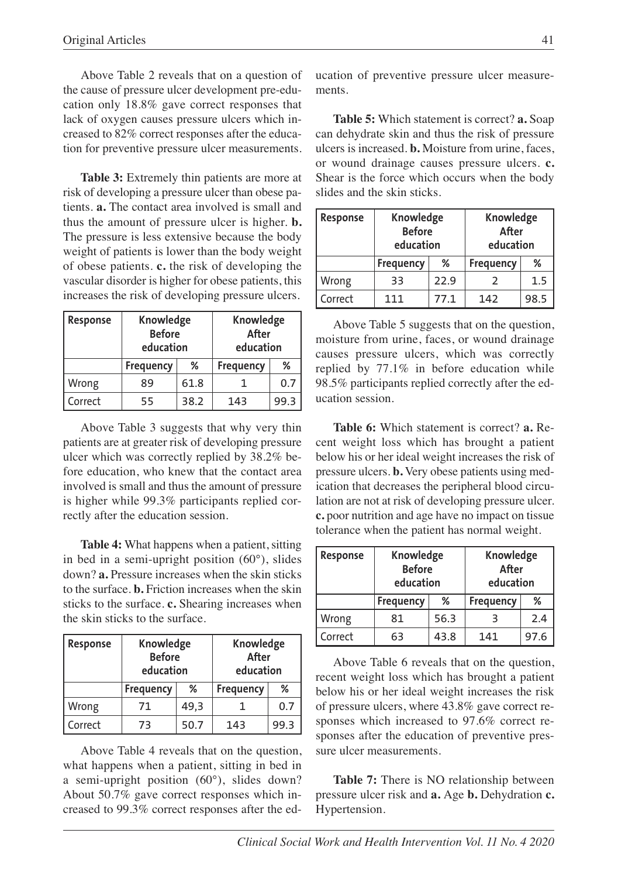Above Table 2 reveals that on a question of the cause of pressure ulcer development pre-education only 18.8% gave correct responses that lack of oxygen causes pressure ulcers which increased to 82% correct responses after the education for preventive pressure ulcer measurements.

**Table 3:** Extremely thin patients are more at risk of developing a pressure ulcer than obese patients. **a.** The contact area involved is small and thus the amount of pressure ulcer is higher. **b.** The pressure is less extensive because the body weight of patients is lower than the body weight of obese patients. **c.** the risk of developing the vascular disorder is higher for obese patients, this increases the risk of developing pressure ulcers.

| Response | Knowledge<br><b>Before</b><br>education |      | Knowledge<br>After<br>education |      |
|----------|-----------------------------------------|------|---------------------------------|------|
|          | <b>Frequency</b>                        | %    | <b>Frequency</b>                | %    |
| Wrong    | 89                                      | 61.8 |                                 | 0.7  |
| Correct  | 55                                      | 38.2 | 143                             | 99.3 |

Above Table 3 suggests that why very thin patients are at greater risk of developing pressure ulcer which was correctly replied by 38.2% before education, who knew that the contact area involved is small and thus the amount of pressure is higher while 99.3% participants replied correctly after the education session.

**Table 4:** What happens when a patient, sitting in bed in a semi-upright position (60°), slides down? **a.** Pressure increases when the skin sticks to the surface. **b.** Friction increases when the skin sticks to the surface. **c.** Shearing increases when the skin sticks to the surface.

| Response | Knowledge<br><b>Before</b><br>education |      | Knowledge<br>After<br>education |      |
|----------|-----------------------------------------|------|---------------------------------|------|
|          | Frequency                               | %    | <b>Frequency</b>                | %    |
| Wrong    | 71                                      | 49,3 |                                 | 0.7  |
| Correct  | 73                                      | 50.7 | 143                             | 99.3 |

Above Table 4 reveals that on the question, what happens when a patient, sitting in bed in a semi-upright position (60°), slides down? About 50.7% gave correct responses which increased to 99.3% correct responses after the education of preventive pressure ulcer measurements.

**Table 5:** Which statement is correct? **a.** Soap can dehydrate skin and thus the risk of pressure ulcers is increased. **b.** Moisture from urine, faces, or wound drainage causes pressure ulcers. **c.** Shear is the force which occurs when the body slides and the skin sticks.

| Response | Knowledge<br><b>Before</b><br>education |      | Knowledge<br>After<br>education |      |
|----------|-----------------------------------------|------|---------------------------------|------|
|          | <b>Frequency</b>                        | %    | <b>Frequency</b>                | %    |
| Wrong    | 33                                      | 22.9 |                                 | 1.5  |
| Correct  | 111                                     | 77.1 | 142                             | 98.5 |

Above Table 5 suggests that on the question, moisture from urine, faces, or wound drainage causes pressure ulcers, which was correctly replied by 77.1% in before education while 98.5% participants replied correctly after the education session.

**Table 6:** Which statement is correct? **a.** Recent weight loss which has brought a patient below his or her ideal weight increases the risk of pressure ulcers. **b.** Very obese patients using medication that decreases the peripheral blood circulation are not at risk of developing pressure ulcer. **c.** poor nutrition and age have no impact on tissue tolerance when the patient has normal weight.

| Response | Knowledge<br><b>Before</b><br>education |      | Knowledge<br>After<br>education |      |
|----------|-----------------------------------------|------|---------------------------------|------|
|          | <b>Frequency</b>                        | %    | <b>Frequency</b>                | ℅    |
| Wrong    | 81                                      | 56.3 |                                 | 2.4  |
| Correct  | 63                                      | 43.8 | 141                             | 97.6 |

Above Table 6 reveals that on the question, recent weight loss which has brought a patient below his or her ideal weight increases the risk of pressure ulcers, where 43.8% gave correct responses which increased to 97.6% correct responses after the education of preventive pressure ulcer measurements.

**Table 7:** There is NO relationship between pressure ulcer risk and **a.** Age **b.** Dehydration **c.** Hypertension.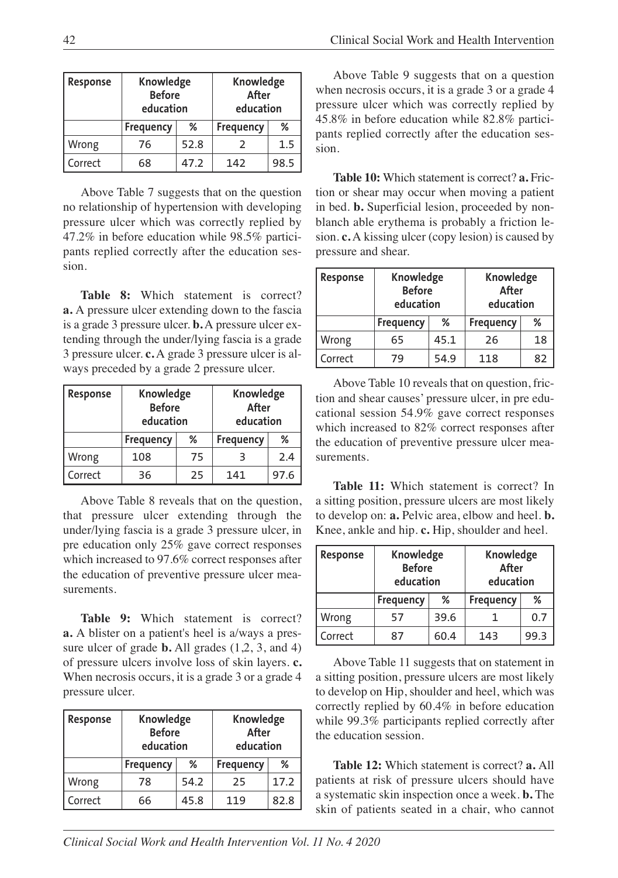| Response | Knowledge<br><b>Before</b><br>education |      | Knowledge<br>After<br>education |      |
|----------|-----------------------------------------|------|---------------------------------|------|
|          | Frequency                               | %    | <b>Frequency</b>                | ℅    |
| Wrong    | 76                                      | 52.8 |                                 | 1.5  |
| Correct  | 68                                      | 47.2 | 142                             | 98.5 |

Above Table 7 suggests that on the question no relationship of hypertension with developing pressure ulcer which was correctly replied by 47.2% in before education while 98.5% participants replied correctly after the education session.

**Table 8:** Which statement is correct? **a.** A pressure ulcer extending down to the fascia is a grade 3 pressure ulcer. **b.** A pressure ulcer extending through the under/lying fascia is a grade 3 pressure ulcer. **c.** A grade 3 pressure ulcer is always preceded by a grade 2 pressure ulcer.

| Response | Knowledge<br><b>Before</b><br>education |    | Knowledge<br>After<br>education |      |
|----------|-----------------------------------------|----|---------------------------------|------|
|          | Frequency                               | %  | <b>Frequency</b>                | %    |
| Wrong    | 108                                     | 75 |                                 | 2.4  |
| Correct  | 36                                      | 25 | 141                             | 97.6 |

Above Table 8 reveals that on the question, that pressure ulcer extending through the under/lying fascia is a grade 3 pressure ulcer, in pre education only 25% gave correct responses which increased to 97.6% correct responses after the education of preventive pressure ulcer measurements.

**Table 9:** Which statement is correct? **a.** A blister on a patient's heel is a/ways a pressure ulcer of grade **b.** All grades (1,2, 3, and 4) of pressure ulcers involve loss of skin layers. **c.** When necrosis occurs, it is a grade 3 or a grade 4 pressure ulcer.

| Response | Knowledge<br><b>Before</b><br>education |      | Knowledge<br>After<br>education |      |
|----------|-----------------------------------------|------|---------------------------------|------|
|          | <b>Frequency</b>                        | %    | <b>Frequency</b>                | %    |
| Wrong    | 78                                      | 54.2 | 25                              | 17.2 |
| Correct  | 66                                      | 45.8 | 119                             | 82.8 |

Above Table 9 suggests that on a question when necrosis occurs, it is a grade 3 or a grade 4 pressure ulcer which was correctly replied by 45.8% in before education while 82.8% participants replied correctly after the education session.

**Table 10:** Which statement is correct? **a.** Friction or shear may occur when moving a patient in bed. **b.** Superficial lesion, proceeded by nonblanch able erythema is probably a friction lesion. **c.** A kissing ulcer (copy lesion) is caused by pressure and shear.

| Response | Knowledge<br><b>Before</b><br>education |      | Knowledge<br>After<br>education |    |
|----------|-----------------------------------------|------|---------------------------------|----|
|          | Frequency                               | %    | <b>Frequency</b>                | ℅  |
| Wrong    | 65                                      | 45.1 | 26                              | 18 |
| Correct  | 79                                      | 54.9 | 118                             | 82 |

Above Table 10 reveals that on question, friction and shear causes' pressure ulcer, in pre educational session 54.9% gave correct responses which increased to 82% correct responses after the education of preventive pressure ulcer measurements.

**Table 11:** Which statement is correct? In a sitting position, pressure ulcers are most likely to develop on: **a.** Pelvic area, elbow and heel. **b.** Knee, ankle and hip. **c.** Hip, shoulder and heel.

| Response | Knowledge<br><b>Before</b><br>education |      | Knowledge<br>After<br>education |      |
|----------|-----------------------------------------|------|---------------------------------|------|
|          | <b>Frequency</b>                        | %    | <b>Frequency</b>                | %    |
| Wrong    | 57                                      | 39.6 |                                 | 0.7  |
| Correct  | 87                                      | 60.4 | 143                             | 99.3 |

Above Table 11 suggests that on statement in a sitting position, pressure ulcers are most likely to develop on Hip, shoulder and heel, which was correctly replied by 60.4% in before education while 99.3% participants replied correctly after the education session.

**Table 12:** Which statement is correct? **a.** All patients at risk of pressure ulcers should have a systematic skin inspection once a week. **b.** The skin of patients seated in a chair, who cannot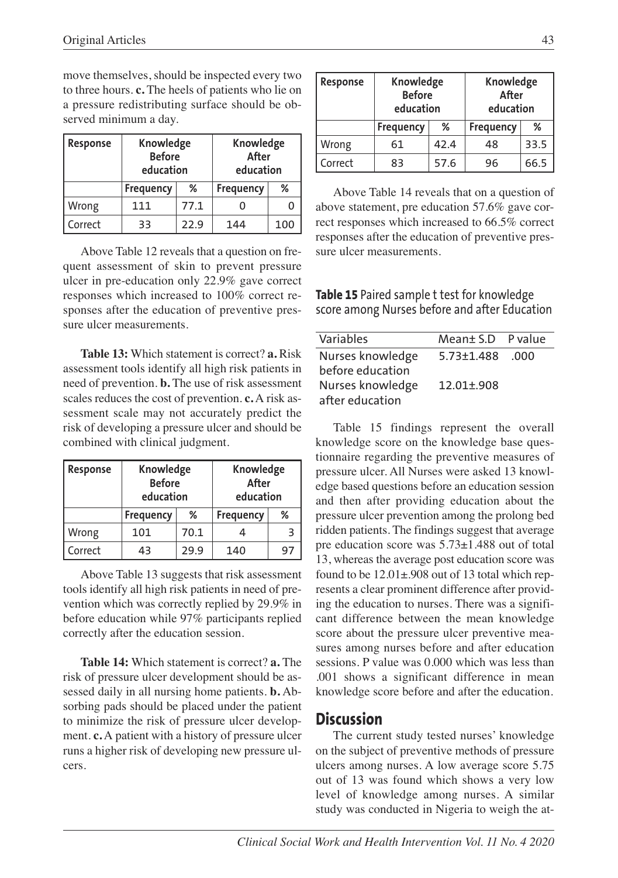move themselves, should be inspected every two to three hours. **c.** The heels of patients who lie on a pressure redistributing surface should be observed minimum a day.

| Response | Knowledge<br><b>Before</b><br>education |      | Knowledge<br>After<br>education |     |
|----------|-----------------------------------------|------|---------------------------------|-----|
|          | <b>Frequency</b>                        | %    | Frequency                       | ℅   |
| Wrong    | 111                                     | 77.1 |                                 |     |
| Correct  | 33                                      | 22.9 | 144                             | 100 |

Above Table 12 reveals that a question on frequent assessment of skin to prevent pressure ulcer in pre-education only 22.9% gave correct responses which increased to 100% correct responses after the education of preventive pressure ulcer measurements.

**Table 13:** Which statement is correct? **a.** Risk assessment tools identify all high risk patients in need of prevention. **b.** The use of risk assessment scales reduces the cost of prevention. **c.** A risk assessment scale may not accurately predict the risk of developing a pressure ulcer and should be combined with clinical judgment.

| Response | Knowledge<br><b>Before</b><br>education |      | Knowledge<br>After<br>education |   |
|----------|-----------------------------------------|------|---------------------------------|---|
|          | <b>Frequency</b>                        | %    | Frequency                       | ℅ |
| Wrong    | 101                                     | 70.1 |                                 | з |
| Correct  | 43                                      | 29.9 | 140                             |   |

Above Table 13 suggests that risk assessment tools identify all high risk patients in need of prevention which was correctly replied by 29.9% in before education while 97% participants replied correctly after the education session.

**Table 14:** Which statement is correct? **a.** The risk of pressure ulcer development should be assessed daily in all nursing home patients. **b.** Absorbing pads should be placed under the patient to minimize the risk of pressure ulcer development. **c.** A patient with a history of pressure ulcer runs a higher risk of developing new pressure ulcers.

| Response | Knowledge<br><b>Before</b><br>education |      | Knowledge<br>After<br>education |      |
|----------|-----------------------------------------|------|---------------------------------|------|
|          | <b>Frequency</b>                        | %    | <b>Frequency</b>                | %    |
| Wrong    | 61                                      | 42.4 | 48                              | 33.5 |
| Correct  | 83                                      | 57.6 | 96                              | 66.5 |

Above Table 14 reveals that on a question of above statement, pre education 57.6% gave correct responses which increased to 66.5% correct responses after the education of preventive pressure ulcer measurements.

**Table 15** Paired sample t test for knowledge score among Nurses before and after Education

| Variables        | Mean± S.D P value |     |
|------------------|-------------------|-----|
| Nurses knowledge | 5.73+1.488        | 000 |
| before education |                   |     |
| Nurses knowledge | $12.01 + 908$     |     |
| after education  |                   |     |

Table 15 findings represent the overall knowledge score on the knowledge base questionnaire regarding the preventive measures of pressure ulcer. All Nurses were asked 13 knowledge based questions before an education session and then after providing education about the pressure ulcer prevention among the prolong bed ridden patients. The findings suggest that average pre education score was 5.73±1.488 out of total 13, whereas the average post education score was found to be 12.01±.908 out of 13 total which represents a clear prominent difference after providing the education to nurses. There was a significant difference between the mean knowledge score about the pressure ulcer preventive measures among nurses before and after education sessions. P value was 0.000 which was less than .001 shows a significant difference in mean knowledge score before and after the education.

## **Discussion**

The current study tested nurses' knowledge on the subject of preventive methods of pressure ulcers among nurses. A low average score 5.75 out of 13 was found which shows a very low level of knowledge among nurses. A similar study was conducted in Nigeria to weigh the at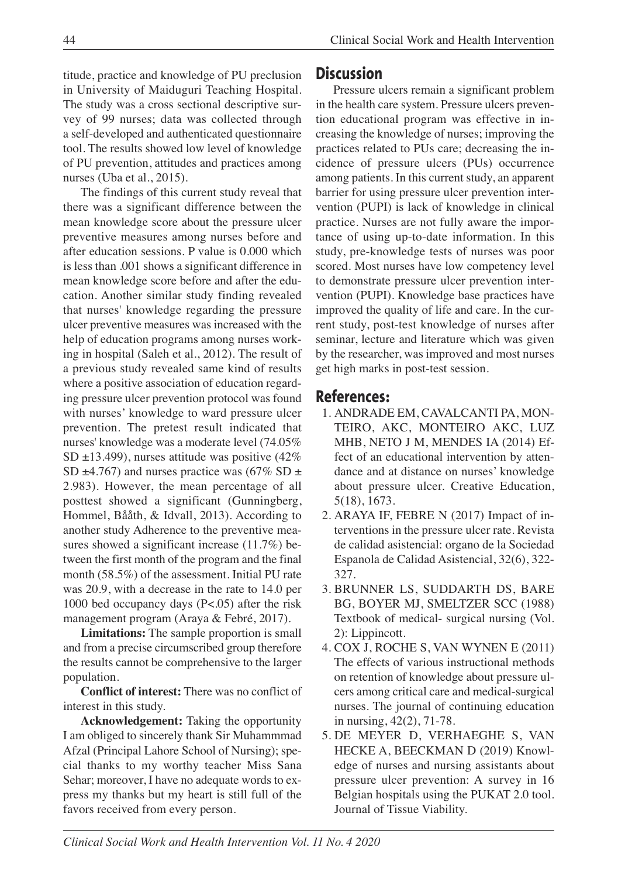44 Clinical Social Work and Health Intervention

titude, practice and knowledge of PU preclusion in University of Maiduguri Teaching Hospital. The study was a cross sectional descriptive survey of 99 nurses; data was collected through a self-developed and authenticated questionnaire tool. The results showed low level of knowledge of PU prevention, attitudes and practices among nurses (Uba et al., 2015).

The findings of this current study reveal that there was a significant difference between the mean knowledge score about the pressure ulcer preventive measures among nurses before and after education sessions. P value is 0.000 which is less than .001 shows a significant difference in mean knowledge score before and after the education. Another similar study finding revealed that nurses' knowledge regarding the pressure ulcer preventive measures was increased with the help of education programs among nurses working in hospital (Saleh et al., 2012). The result of a previous study revealed same kind of results where a positive association of education regarding pressure ulcer prevention protocol was found with nurses' knowledge to ward pressure ulcer prevention. The pretest result indicated that nurses' knowledge was a moderate level (74.05% SD ±13.499), nurses attitude was positive (42% SD  $\pm$ 4.767) and nurses practice was (67% SD  $\pm$ 2.983). However, the mean percentage of all posttest showed a significant (Gunningberg, Hommel, Bååth, & Idvall, 2013). According to another study Adherence to the preventive measures showed a significant increase (11.7%) between the first month of the program and the final month (58.5%) of the assessment. Initial PU rate was 20.9, with a decrease in the rate to 14.0 per 1000 bed occupancy days (P<.05) after the risk management program (Araya & Febré, 2017).

**Limitations:** The sample proportion is small and from a precise circumscribed group therefore the results cannot be comprehensive to the larger population.

**Conflict of interest:** There was no conflict of interest in this study.

**Acknowledgement:** Taking the opportunity I am obliged to sincerely thank Sir Muhammmad Afzal (Principal Lahore School of Nursing); special thanks to my worthy teacher Miss Sana Sehar; moreover, I have no adequate words to express my thanks but my heart is still full of the favors received from every person.

## **Discussion**

Pressure ulcers remain a significant problem in the health care system. Pressure ulcers prevention educational program was effective in increasing the knowledge of nurses; improving the practices related to PUs care; decreasing the incidence of pressure ulcers (PUs) occurrence among patients. In this current study, an apparent barrier for using pressure ulcer prevention intervention (PUPI) is lack of knowledge in clinical practice. Nurses are not fully aware the importance of using up-to-date information. In this study, pre-knowledge tests of nurses was poor scored. Most nurses have low competency level to demonstrate pressure ulcer prevention intervention (PUPI). Knowledge base practices have improved the quality of life and care. In the current study, post-test knowledge of nurses after seminar, lecture and literature which was given by the researcher, was improved and most nurses get high marks in post-test session.

## **References:**

- 1. ANDRADE EM, CAVALCANTI PA, MON-TEIRO, AKC, MONTEIRO AKC, LUZ MHB, NETO J M, MENDES IA (2014) Effect of an educational intervention by attendance and at distance on nurses' knowledge about pressure ulcer. Creative Education, 5(18), 1673.
- 2. ARAYA IF, FEBRE N (2017) Impact of interventions in the pressure ulcer rate. Revista de calidad asistencial: organo de la Sociedad Espanola de Calidad Asistencial, 32(6), 322- 327.
- 3. BRUNNER LS, SUDDARTH DS, BARE BG, BOYER MJ, SMELTZER SCC (1988) Textbook of medical- surgical nursing (Vol. 2): Lippincott.
- 4. COX J, ROCHE S, VAN WYNEN E (2011) The effects of various instructional methods on retention of knowledge about pressure ulcers among critical care and medical-surgical nurses. The journal of continuing education in nursing, 42(2), 71-78.
- 5. DE MEYER D, VERHAEGHE S, VAN HECKE A, BEECKMAN D (2019) Knowledge of nurses and nursing assistants about pressure ulcer prevention: A survey in 16 Belgian hospitals using the PUKAT 2.0 tool. Journal of Tissue Viability.

*Clinical Social Work and Health Intervention Vol. 11 No. 4 2020*